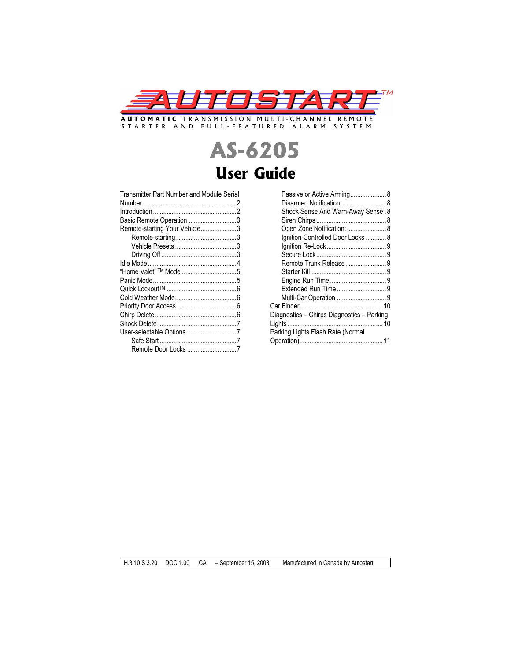

STARTER AND FULL-FEATURED ALARM SYSTEM

# **AS-6205 User Guide**

Transmitter Part Number and Module Serial Number .......................................................2

| Basic Remote Operation 3      |  |
|-------------------------------|--|
| Remote-starting Your Vehicle3 |  |
|                               |  |
|                               |  |
|                               |  |
|                               |  |
|                               |  |
|                               |  |
|                               |  |
|                               |  |
|                               |  |
|                               |  |
|                               |  |
|                               |  |
|                               |  |
| Remote Door Locks 7           |  |
|                               |  |

| Passive or Active Arming 8                 |  |
|--------------------------------------------|--|
| Disarmed Notification 8                    |  |
| Shock Sense And Warn-Away Sense. 8         |  |
|                                            |  |
| Open Zone Notification:  8                 |  |
| Ignition-Controlled Door Locks  8          |  |
|                                            |  |
|                                            |  |
| Remote Trunk Release9                      |  |
|                                            |  |
|                                            |  |
|                                            |  |
|                                            |  |
|                                            |  |
| Diagnostics - Chirps Diagnostics - Parking |  |
|                                            |  |
| Parking Lights Flash Rate (Normal          |  |
|                                            |  |

H.3.10.S.3.20 DOC.1.00 CA – September 15, 2003 Manufactured in Canada by Autostart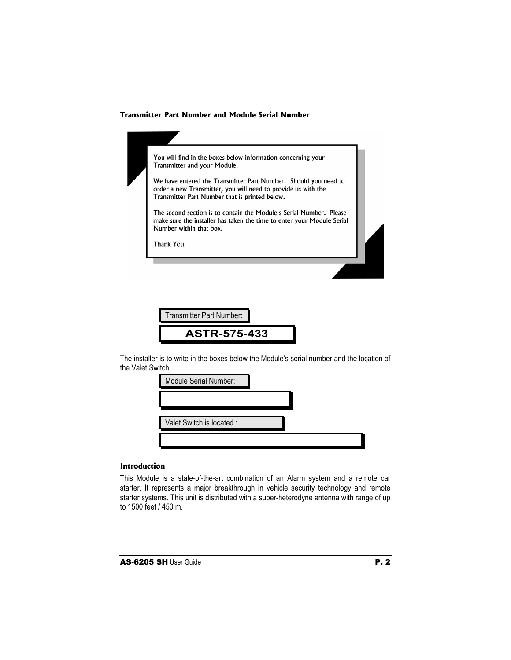## **Transmitter Part Number and Module Serial Number**

| You will find in the boxes below information concerning your<br>Transmitter and your Module.                                                                                       |  |
|------------------------------------------------------------------------------------------------------------------------------------------------------------------------------------|--|
| We have entered the Transmitter Part Number. Should you need to<br>order a new Transmitter, you will need to provide us with the<br>Transmitter Part Number that is printed below. |  |
| The second section is to contain the Module's Serial Number. Please<br>make sure the installer has taken the time to enter your Module Serial<br>Number within that box.           |  |
| Thank You.                                                                                                                                                                         |  |



The installer is to write in the boxes below the Module's serial number and the location of the Valet Switch.



# **Introduction**

This Module is a state-of-the-art combination of an Alarm system and a remote car starter. It represents a major breakthrough in vehicle security technology and remote starter systems. This unit is distributed with a super-heterodyne antenna with range of up to 1500 feet / 450 m.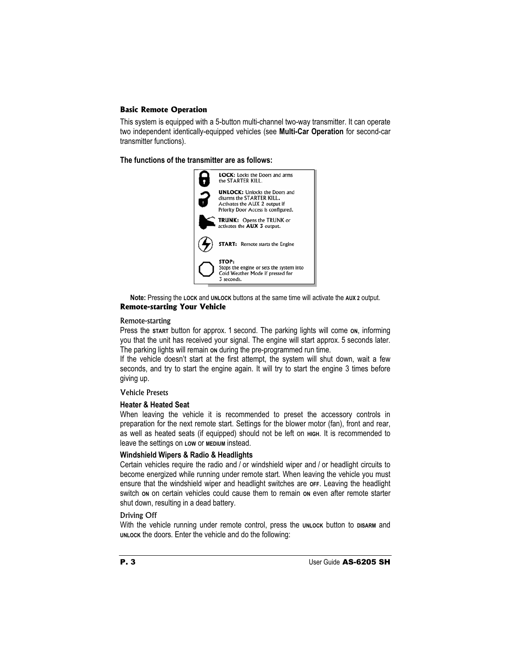## **Basic Remote Operation**

This system is equipped with a 5-button multi-channel two-way transmitter. It can operate two independent identically-equipped vehicles (see **Multi-Car Operation** for second-car transmitter functions).

**The functions of the transmitter are as follows:**



**Note:** Pressing the **LOCK** and **UNLOCK** buttons at the same time will activate the **AUX 2** output. **Remote-starting Your Vehicle**

## Remote-starting

Press the start button for approx. 1 second. The parking lights will come on, informing you that the unit has received your signal. The engine will start approx. 5 seconds later. The parking lights will remain on during the pre-programmed run time.

If the vehicle doesn't start at the first attempt, the system will shut down, wait a few seconds, and try to start the engine again. It will try to start the engine 3 times before giving up.

## Vehicle Presets

## **Heater & Heated Seat**

When leaving the vehicle it is recommended to preset the accessory controls in preparation for the next remote start. Settings for the blower motor (fan), front and rear, as well as heated seats (if equipped) should not be left on **HIGH**. It is recommended to leave the settings on **LOW** or **MEDIUM** instead.

## **Windshield Wipers & Radio & Headlights**

Certain vehicles require the radio and / or windshield wiper and / or headlight circuits to become energized while running under remote start. When leaving the vehicle you must ensure that the windshield wiper and headlight switches are **OFF**. Leaving the headlight switch on on certain vehicles could cause them to remain on even after remote starter shut down, resulting in a dead battery.

## Driving Off

With the vehicle running under remote control, press the **UNLOCK** button to **DISARM** and **UNLOCK** the doors. Enter the vehicle and do the following: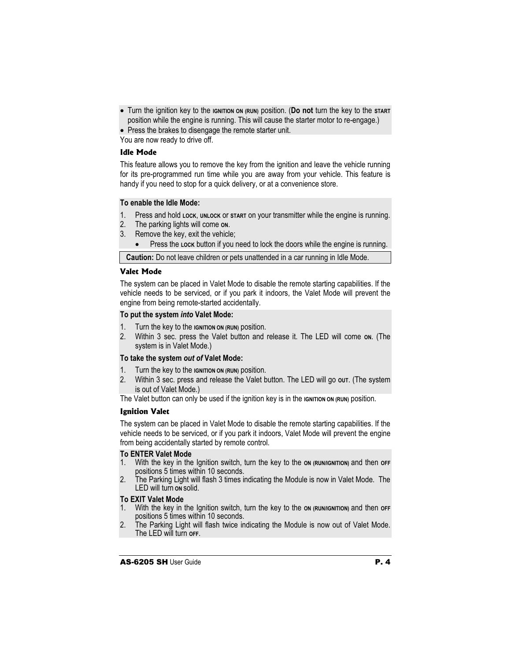x Turn the ignition key to the **IGNITION ON (RUN)** position. (**Do not** turn the key to the **START** position while the engine is running. This will cause the starter motor to re-engage.)

• Press the brakes to disengage the remote starter unit.

You are now ready to drive off.

# **Idle Mode**

This feature allows you to remove the key from the ignition and leave the vehicle running for its pre-programmed run time while you are away from your vehicle. This feature is handy if you need to stop for a quick delivery, or at a convenience store.

## **To enable the Idle Mode:**

- 1. Press and hold **LOCK**, **UNLOCK** or **START** on your transmitter while the engine is running.
- 2. The parking lights will come **ON**.
- 3. Remove the key, exit the vehicle;
	- **•** Press the Lock button if you need to lock the doors while the engine is running.

**Caution:** Do not leave children or pets unattended in a car running in Idle Mode.

## **Valet Mode**

The system can be placed in Valet Mode to disable the remote starting capabilities. If the vehicle needs to be serviced, or if you park it indoors, the Valet Mode will prevent the engine from being remote-started accidentally.

## **To put the system** *into* **Valet Mode:**

- 1. Turn the key to the **IGNITION ON (RUN)** position.
- 2. Within 3 sec. press the Valet button and release it. The LED will come **ON**. (The system is in Valet Mode.)

## **To take the system** *out of* **Valet Mode:**

- 1. Turn the key to the **IGNITION ON (RUN)** position.
- 2. Within 3 sec. press and release the Valet button. The LED will go **OUT**. (The system is out of Valet Mode.)

The Valet button can only be used if the ignition key is in the **IGNITION ON (RUN)** position.

# **Ignition Valet**

The system can be placed in Valet Mode to disable the remote starting capabilities. If the vehicle needs to be serviced, or if you park it indoors, Valet Mode will prevent the engine from being accidentally started by remote control.

## **To ENTER Valet Mode**

- 1. With the key in the Ignition switch, turn the key to the **ON (RUN/IGNITION)** and then **OFF**  positions 5 times within 10 seconds.
- 2. The Parking Light will flash 3 times indicating the Module is now in Valet Mode. The LED will turn **ON** solid.

## **To EXIT Valet Mode**

- 1. With the key in the Ignition switch, turn the key to the **ON (RUN/IGNITION)** and then **OFF**  positions 5 times within 10 seconds.
- 2. The Parking Light will flash twice indicating the Module is now out of Valet Mode. The LED will turn **OFF**.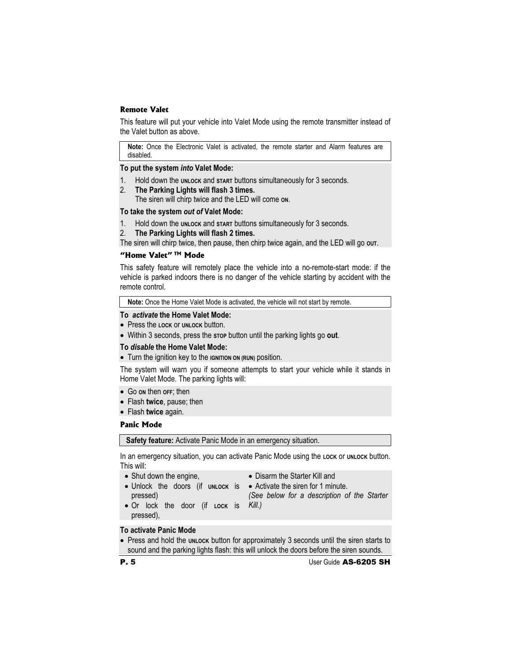## **Remote Valet**

This feature will put your vehicle into Valet Mode using the remote transmitter instead of the Valet button as above.

**Note:** Once the Electronic Valet is activated, the remote starter and Alarm features are disabled.

#### **To put the system** *into* **Valet Mode:**

- 1. Hold down the **UNLOCK** and **START** buttons simultaneously for 3 seconds.
- 2. **The Parking Lights will flash 3 times.** The siren will chirp twice and the LED will come **ON**.

#### **To take the system** *out of* **Valet Mode:**

- 1. Hold down the **UNLOCK** and **START** buttons simultaneously for 3 seconds.
- 2. **The Parking Lights will flash 2 times.**

The siren will chirp twice, then pause, then chirp twice again, and the LED will go out.

# **"Home Valet" TM Mode**

This safety feature will remotely place the vehicle into a no-remote-start mode: if the vehicle is parked indoors there is no danger of the vehicle starting by accident with the remote control.

**Note:** Once the Home Valet Mode is activated, the vehicle will not start by remote.

#### **To** *activate* **the Home Valet Mode:**

- x Press the **LOCK** or **UNLOCK** button.
- x Within 3 seconds, press the **STOP** button until the parking lights go **out**.

#### **To** *disable* **the Home Valet Mode:**

**•** Turn the ignition key to the **IGNITION** ON (RUN) position.

The system will warn you if someone attempts to start your vehicle while it stands in Home Valet Mode. The parking lights will:

- x Go **ON** then **OFF**; then
- x Flash **twice**, pause; then
- x Flash **twice** again.

#### **Panic Mode**

**Safety feature:** Activate Panic Mode in an emergency situation.

In an emergency situation, you can activate Panic Mode using the Lock or unLock button. This will:

- $\bullet$  Shut down the engine,
- Disarm the Starter Kill and
- Unlock the doors (if un**Lock is Activate the siren for 1 minute.** pressed)
- - *(See below for a description of the Starter*
- x Or lock the door (if **LOCK** is *Kill.)* pressed),
- **To activate Panic Mode**
- Press and hold the *unLock* button for approximately 3 seconds until the siren starts to sound and the parking lights flash: this will unlock the doors before the siren sounds.

**P. 5** User Guide AS-6205 SH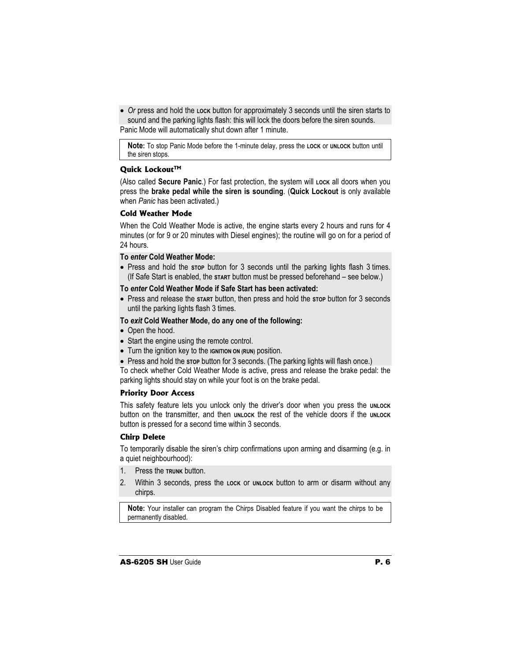• Or press and hold the Lock button for approximately 3 seconds until the siren starts to sound and the parking lights flash: this will lock the doors before the siren sounds. Panic Mode will automatically shut down after 1 minute.

**Note:** To stop Panic Mode before the 1-minute delay, press the **LOCK** or **UNLOCK** button until the siren stops.

## **Quick Lockout™**

(Also called **Secure Panic**.) For fast protection, the system will Lock all doors when you press the **brake pedal while the siren is sounding**. (**Quick Lockout** is only available when *Panic* has been activated.)

## **Cold Weather Mode**

When the Cold Weather Mode is active, the engine starts every 2 hours and runs for 4 minutes (or for 9 or 20 minutes with Diesel engines); the routine will go on for a period of 24 hours.

## **To** *enter* **Cold Weather Mode:**

• Press and hold the stop button for 3 seconds until the parking lights flash 3 times. (If Safe Start is enabled, the **START** button must be pressed beforehand – see below*.*)

## **To** *enter* **Cold Weather Mode if Safe Start has been activated:**

x Press and release the **START** button, then press and hold the **STOP** button for 3 seconds until the parking lights flash 3 times.

# **To** *exit* **Cold Weather Mode, do any one of the following:**

- Open the hood.
- Start the engine using the remote control.
- Turn the ignition key to the **IGNITION** ON (RUN) position.
- Press and hold the stop button for 3 seconds. (The parking lights will flash once.)

To check whether Cold Weather Mode is active, press and release the brake pedal: the parking lights should stay on while your foot is on the brake pedal.

## **Priority Door Access**

This safety feature lets you unlock only the driver's door when you press the **UNLOCK** button on the transmitter, and then **UNLOCK** the rest of the vehicle doors if the **UNLOCK** button is pressed for a second time within 3 seconds.

## **Chirp Delete**

To temporarily disable the siren's chirp confirmations upon arming and disarming (e.g. in a quiet neighbourhood):

- 1. Press the **TRUNK** button.
- 2. Within 3 seconds, press the **LOCK** or **UNLOCK** button to arm or disarm without any chirps.

**Note:** Your installer can program the Chirps Disabled feature if you want the chirps to be permanently disabled.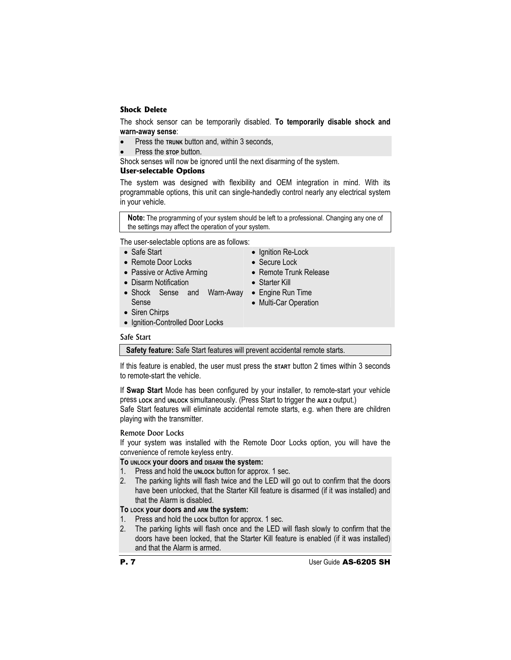## **Shock Delete**

The shock sensor can be temporarily disabled. **To temporarily disable shock and warn-away sense**:

- Press the **TRUNK** button and, within 3 seconds,
- Press the stop button.

Shock senses will now be ignored until the next disarming of the system.

## **User-selectable Options**

The system was designed with flexibility and OEM integration in mind. With its programmable options, this unit can single-handedly control nearly any electrical system in your vehicle.

**Note:** The programming of your system should be left to a professional. Changing any one of the settings may affect the operation of your system.

The user-selectable options are as follows:

- Safe Start
- Remote Door Locks
- Passive or Active Arming
- Disarm Notification
- Shock Sense and Warn-Away Engine Run Time Sense
- Siren Chirps
- Ignition-Controlled Door Locks

## Safe Start

**Safety feature:** Safe Start features will prevent accidental remote starts.

If this feature is enabled, the user must press the **START** button 2 times within 3 seconds to remote-start the vehicle.

If **Swap Start** Mode has been configured by your installer, to remote-start your vehicle press **LOCK** and **UNLOCK** simultaneously. (Press Start to trigger the **AUX 2** output.)

Safe Start features will eliminate accidental remote starts, e.g. when there are children playing with the transmitter.

## Remote Door Locks

If your system was installed with the Remote Door Locks option, you will have the convenience of remote keyless entry.

## **To UNLOCK your doors and DISARM the system:**

- 1. Press and hold the **UNLOCK** button for approx. 1 sec.
- 2. The parking lights will flash twice and the LED will go out to confirm that the doors have been unlocked, that the Starter Kill feature is disarmed (if it was installed) and that the Alarm is disabled.

## **To LOCK your doors and ARM the system:**

- 1. Press and hold the **LOCK** button for approx. 1 sec.
- 2. The parking lights will flash once and the LED will flash slowly to confirm that the doors have been locked, that the Starter Kill feature is enabled (if it was installed) and that the Alarm is armed.

• Ignition Re-Lock

- Secure Lock
- Remote Trunk Release
- Starter Kill
- 
- Multi-Car Operation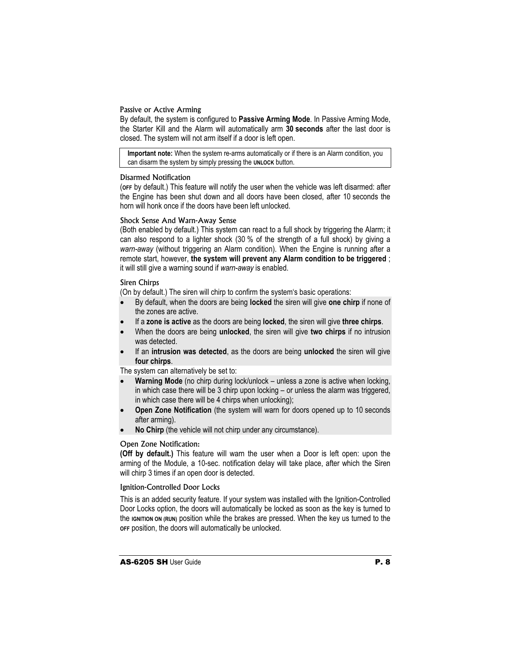## Passive or Active Arming

By default, the system is configured to **Passive Arming Mode**. In Passive Arming Mode, the Starter Kill and the Alarm will automatically arm **30 seconds** after the last door is closed. The system will not arm itself if a door is left open.

**Important note:** When the system re-arms automatically or if there is an Alarm condition, you can disarm the system by simply pressing the **UNLOCK** button.

## Disarmed Notification

(**OFF** by default.) This feature will notify the user when the vehicle was left disarmed: after the Engine has been shut down and all doors have been closed, after 10 seconds the horn will honk once if the doors have been left unlocked.

## Shock Sense And Warn-Away Sense

(Both enabled by default.) This system can react to a full shock by triggering the Alarm; it can also respond to a lighter shock (30 % of the strength of a full shock) by giving a *warn-away* (without triggering an Alarm condition). When the Engine is running after a remote start, however, **the system will prevent any Alarm condition to be triggered** ; it will still give a warning sound if *warn-away* is enabled.

## Siren Chirps

(On by default.) The siren will chirp to confirm the system's basic operations:

- x By default, when the doors are being **locked** the siren will give **one chirp** if none of the zones are active.
- x If a **zone is active** as the doors are being **locked**, the siren will give **three chirps**.
- x When the doors are being **unlocked**, the siren will give **two chirps** if no intrusion was detected.
- If an **intrusion was detected**, as the doors are being **unlocked** the siren will give **four chirps**.

The system can alternatively be set to:

- **Warning Mode** (no chirp during lock/unlock unless a zone is active when locking, in which case there will be 3 chirp upon locking – or unless the alarm was triggered, in which case there will be 4 chirps when unlocking);
- **Open Zone Notification** (the system will warn for doors opened up to 10 seconds after arming).
- **No Chirp** (the vehicle will not chirp under any circumstance).

## Open Zone Notification:

**(Off by default.)** This feature will warn the user when a Door is left open: upon the arming of the Module, a 10-sec. notification delay will take place, after which the Siren will chirp 3 times if an open door is detected.

## Ignition-Controlled Door Locks

This is an added security feature. If your system was installed with the Ignition-Controlled Door Locks option, the doors will automatically be locked as soon as the key is turned to the **IGNITION ON (RUN)** position while the brakes are pressed. When the key us turned to the **OFF** position, the doors will automatically be unlocked.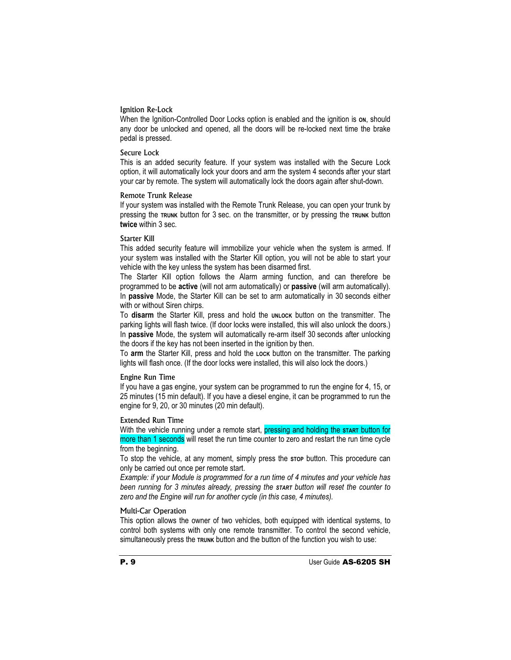#### Ignition Re-Lock

When the Ignition-Controlled Door Locks option is enabled and the ignition is on, should any door be unlocked and opened, all the doors will be re-locked next time the brake pedal is pressed.

#### Secure Lock

This is an added security feature. If your system was installed with the Secure Lock option, it will automatically lock your doors and arm the system 4 seconds after your start your car by remote. The system will automatically lock the doors again after shut-down.

#### Remote Trunk Release

If your system was installed with the Remote Trunk Release, you can open your trunk by pressing the **TRUNK** button for 3 sec. on the transmitter, or by pressing the **TRUNK** button **twice** within 3 sec.

## Starter Kill

This added security feature will immobilize your vehicle when the system is armed. If your system was installed with the Starter Kill option, you will not be able to start your vehicle with the key unless the system has been disarmed first.

The Starter Kill option follows the Alarm arming function, and can therefore be programmed to be **active** (will not arm automatically) or **passive** (will arm automatically). In **passive** Mode, the Starter Kill can be set to arm automatically in 30 seconds either with or without Siren chirps.

To disarm the Starter Kill, press and hold the **UNLOCK** button on the transmitter. The parking lights will flash twice. (If door locks were installed, this will also unlock the doors.) In **passive** Mode, the system will automatically re-arm itself 30 seconds after unlocking the doors if the key has not been inserted in the ignition by then.

To arm the Starter Kill, press and hold the Lock button on the transmitter. The parking lights will flash once. (If the door locks were installed, this will also lock the doors.)

## Engine Run Time

If you have a gas engine, your system can be programmed to run the engine for 4, 15, or 25 minutes (15 min default). If you have a diesel engine, it can be programmed to run the engine for 9, 20, or 30 minutes (20 min default).

#### Extended Run Time

With the vehicle running under a remote start, pressing and holding the start button for more than 1 seconds will reset the run time counter to zero and restart the run time cycle from the beginning.

To stop the vehicle, at any moment, simply press the **STOP** button. This procedure can only be carried out once per remote start.

*Example: if your Module is programmed for a run time of 4 minutes and your vehicle has been running for 3 minutes already, pressing the START button will reset the counter to zero and the Engine will run for another cycle (in this case, 4 minutes).* 

## Multi-Car Operation

This option allows the owner of two vehicles, both equipped with identical systems, to control both systems with only one remote transmitter. To control the second vehicle, simultaneously press the **TRUNK** button and the button of the function you wish to use: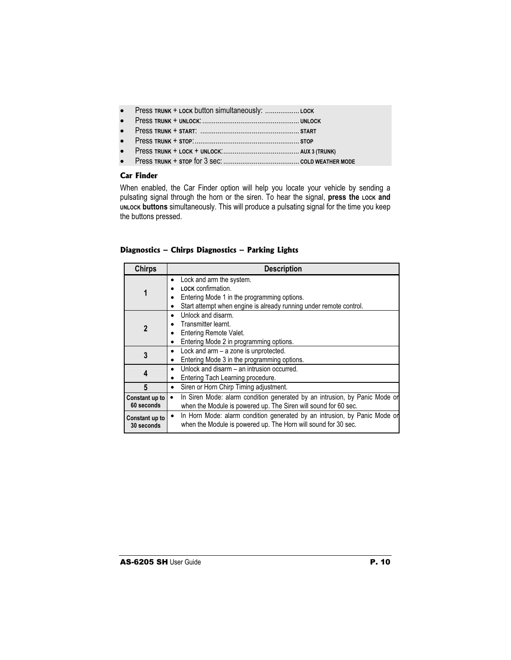- x Press **TRUNK** + **LOCK** button simultaneously: .................. **LOCK**
- x Press **TRUNK** + **UNLOCK**:................................................... **UNLOCK**
- x Press **TRUNK** + **START**: .................................................... **START**
- x Press **TRUNK** + **STOP**:....................................................... **STOP**
- x Press **TRUNK** + **LOCK** + **UNLOCK**:........................................ **AUX 3 (TRUNK)**
- x Press **TRUNK** + **STOP** for 3 sec: ........................................ **COLD WEATHER MODE**

# **Car Finder**

When enabled, the Car Finder option will help you locate your vehicle by sending a pulsating signal through the horn or the siren. To hear the signal, press the Lock and **UNLOCK buttons** simultaneously. This will produce a pulsating signal for the time you keep the buttons pressed.

|  |  | Diagnostics - Chirps Diagnostics - Parking Lights |  |  |
|--|--|---------------------------------------------------|--|--|
|--|--|---------------------------------------------------|--|--|

| <b>Chirps</b>                | <b>Description</b>                                                                                                                                                               |
|------------------------------|----------------------------------------------------------------------------------------------------------------------------------------------------------------------------------|
| 1                            | Lock and arm the system.<br>$\bullet$<br>LOCK confirmation.<br>Entering Mode 1 in the programming options.<br>Start attempt when engine is already running under remote control. |
| $\mathbf 2$                  | Unlock and disarm.<br>٠<br>Transmitter learnt.<br>Entering Remote Valet.<br>Entering Mode 2 in programming options.                                                              |
| 3                            | Lock and arm - a zone is unprotected.<br>Entering Mode 3 in the programming options.                                                                                             |
| 4                            | Unlock and disarm – an intrusion occurred.<br>Entering Tach Learning procedure.                                                                                                  |
| 5                            | Siren or Horn Chirp Timing adjustment.<br>٠                                                                                                                                      |
| Constant up to<br>60 seconds | In Siren Mode: alarm condition generated by an intrusion, by Panic Mode or<br>when the Module is powered up. The Siren will sound for 60 sec.                                    |
| Constant up to<br>30 seconds | In Horn Mode: alarm condition generated by an intrusion, by Panic Mode or<br>$\bullet$<br>when the Module is powered up. The Horn will sound for 30 sec.                         |